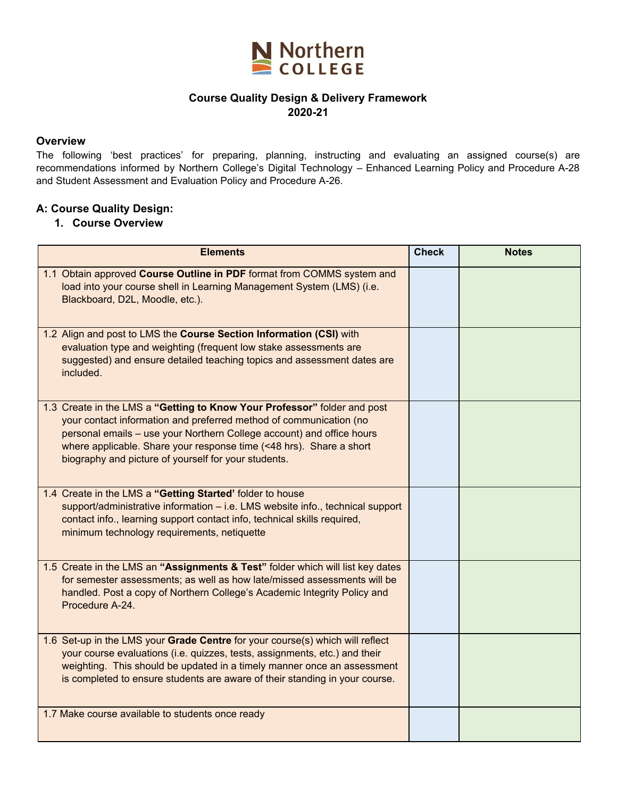

#### **Course Quality Design & Delivery Framework 2020-21**

#### **Overview**

The following 'best practices' for preparing, planning, instructing and evaluating an assigned course(s) are recommendations informed by Northern College's Digital Technology – Enhanced Learning Policy and Procedure A-28 and Student Assessment and Evaluation Policy and Procedure A-26.

#### **A: Course Quality Design:**

#### **1. Course Overview**

| <b>Elements</b>                                                                                                                                                                                                                                                                                                                                        | <b>Check</b> | <b>Notes</b> |
|--------------------------------------------------------------------------------------------------------------------------------------------------------------------------------------------------------------------------------------------------------------------------------------------------------------------------------------------------------|--------------|--------------|
| 1.1 Obtain approved Course Outline in PDF format from COMMS system and<br>load into your course shell in Learning Management System (LMS) (i.e.<br>Blackboard, D2L, Moodle, etc.).                                                                                                                                                                     |              |              |
| 1.2 Align and post to LMS the Course Section Information (CSI) with<br>evaluation type and weighting (frequent low stake assessments are<br>suggested) and ensure detailed teaching topics and assessment dates are<br>included.                                                                                                                       |              |              |
| 1.3 Create in the LMS a "Getting to Know Your Professor" folder and post<br>your contact information and preferred method of communication (no<br>personal emails - use your Northern College account) and office hours<br>where applicable. Share your response time (<48 hrs). Share a short<br>biography and picture of yourself for your students. |              |              |
| 1.4 Create in the LMS a "Getting Started' folder to house<br>support/administrative information - i.e. LMS website info., technical support<br>contact info., learning support contact info, technical skills required,<br>minimum technology requirements, netiquette                                                                                 |              |              |
| 1.5 Create in the LMS an "Assignments & Test" folder which will list key dates<br>for semester assessments; as well as how late/missed assessments will be<br>handled. Post a copy of Northern College's Academic Integrity Policy and<br>Procedure A-24.                                                                                              |              |              |
| 1.6 Set-up in the LMS your Grade Centre for your course(s) which will reflect<br>your course evaluations (i.e. quizzes, tests, assignments, etc.) and their<br>weighting. This should be updated in a timely manner once an assessment<br>is completed to ensure students are aware of their standing in your course.                                  |              |              |
| 1.7 Make course available to students once ready                                                                                                                                                                                                                                                                                                       |              |              |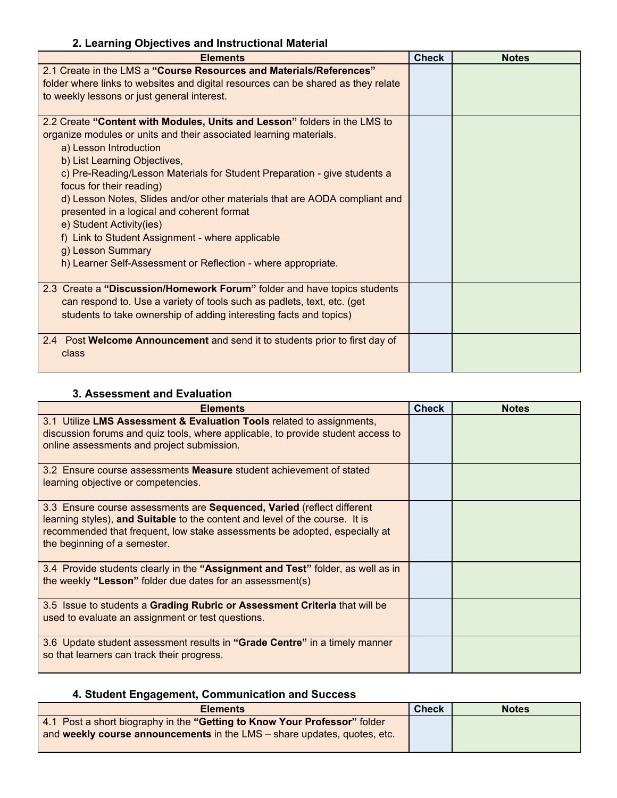## **2. Learning Objectives and Instructional Material**

| <b>Elements</b>                                                                   | <b>Check</b> | <b>Notes</b> |
|-----------------------------------------------------------------------------------|--------------|--------------|
| 2.1 Create in the LMS a "Course Resources and Materials/References"               |              |              |
| folder where links to websites and digital resources can be shared as they relate |              |              |
| to weekly lessons or just general interest.                                       |              |              |
| 2.2 Create "Content with Modules, Units and Lesson" folders in the LMS to         |              |              |
| organize modules or units and their associated learning materials.                |              |              |
| a) Lesson Introduction                                                            |              |              |
| b) List Learning Objectives,                                                      |              |              |
| c) Pre-Reading/Lesson Materials for Student Preparation - give students a         |              |              |
| focus for their reading)                                                          |              |              |
| d) Lesson Notes, Slides and/or other materials that are AODA compliant and        |              |              |
| presented in a logical and coherent format                                        |              |              |
| e) Student Activity(ies)                                                          |              |              |
| f) Link to Student Assignment - where applicable                                  |              |              |
| g) Lesson Summary                                                                 |              |              |
| h) Learner Self-Assessment or Reflection - where appropriate.                     |              |              |
| 2.3 Create a "Discussion/Homework Forum" folder and have topics students          |              |              |
| can respond to. Use a variety of tools such as padlets, text, etc. (get           |              |              |
| students to take ownership of adding interesting facts and topics)                |              |              |
| 2.4 Post Welcome Announcement and send it to students prior to first day of       |              |              |
| class                                                                             |              |              |
|                                                                                   |              |              |

### **3. Assessment and Evaluation**

| <b>Elements</b>                                                                                                                                                                                                                                                      | <b>Check</b> | <b>Notes</b> |
|----------------------------------------------------------------------------------------------------------------------------------------------------------------------------------------------------------------------------------------------------------------------|--------------|--------------|
| 3.1 Utilize LMS Assessment & Evaluation Tools related to assignments,<br>discussion forums and quiz tools, where applicable, to provide student access to<br>online assessments and project submission.                                                              |              |              |
| 3.2 Ensure course assessments <b>Measure</b> student achievement of stated<br>learning objective or competencies.                                                                                                                                                    |              |              |
| 3.3 Ensure course assessments are Sequenced, Varied (reflect different<br>learning styles), and Suitable to the content and level of the course. It is<br>recommended that frequent, low stake assessments be adopted, especially at<br>the beginning of a semester. |              |              |
| 3.4 Provide students clearly in the "Assignment and Test" folder, as well as in<br>the weekly "Lesson" folder due dates for an assessment(s)                                                                                                                         |              |              |
| 3.5 Issue to students a Grading Rubric or Assessment Criteria that will be<br>used to evaluate an assignment or test questions.                                                                                                                                      |              |              |
| 3.6 Update student assessment results in "Grade Centre" in a timely manner<br>so that learners can track their progress.                                                                                                                                             |              |              |

## **4. Student Engagement, Communication and Success**

| <b>Elements</b>                                                                                                                                       | <b>Check</b> | <b>Notes</b> |
|-------------------------------------------------------------------------------------------------------------------------------------------------------|--------------|--------------|
| 4.1 Post a short biography in the "Getting to Know Your Professor" folder<br>and weekly course announcements in the LMS – share updates, quotes, etc. |              |              |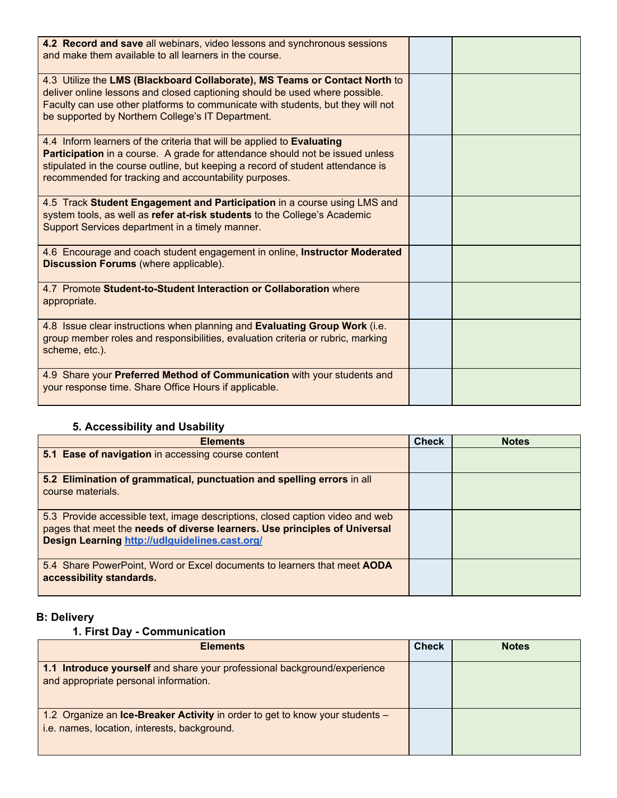| 4.2 Record and save all webinars, video lessons and synchronous sessions<br>and make them available to all learners in the course.                                                                                                                                                                  |  |
|-----------------------------------------------------------------------------------------------------------------------------------------------------------------------------------------------------------------------------------------------------------------------------------------------------|--|
| 4.3 Utilize the LMS (Blackboard Collaborate), MS Teams or Contact North to<br>deliver online lessons and closed captioning should be used where possible.<br>Faculty can use other platforms to communicate with students, but they will not<br>be supported by Northern College's IT Department.   |  |
| 4.4 Inform learners of the criteria that will be applied to Evaluating<br>Participation in a course. A grade for attendance should not be issued unless<br>stipulated in the course outline, but keeping a record of student attendance is<br>recommended for tracking and accountability purposes. |  |
| 4.5 Track Student Engagement and Participation in a course using LMS and<br>system tools, as well as refer at-risk students to the College's Academic<br>Support Services department in a timely manner.                                                                                            |  |
| 4.6 Encourage and coach student engagement in online, Instructor Moderated<br>Discussion Forums (where applicable).                                                                                                                                                                                 |  |
| 4.7 Promote Student-to-Student Interaction or Collaboration where<br>appropriate.                                                                                                                                                                                                                   |  |
| 4.8 Issue clear instructions when planning and Evaluating Group Work (i.e.<br>group member roles and responsibilities, evaluation criteria or rubric, marking<br>scheme, etc.).                                                                                                                     |  |
| 4.9 Share your Preferred Method of Communication with your students and<br>your response time. Share Office Hours if applicable.                                                                                                                                                                    |  |

## **5. Accessibility and Usability**

| <b>Elements</b>                                                                                                                                                                                               | <b>Check</b> | <b>Notes</b> |
|---------------------------------------------------------------------------------------------------------------------------------------------------------------------------------------------------------------|--------------|--------------|
| 5.1 Ease of navigation in accessing course content                                                                                                                                                            |              |              |
| 5.2 Elimination of grammatical, punctuation and spelling errors in all<br>course materials.                                                                                                                   |              |              |
| 5.3 Provide accessible text, image descriptions, closed caption video and web<br>pages that meet the needs of diverse learners. Use principles of Universal<br>Design Learning http://udlguidelines.cast.org/ |              |              |
| 5.4 Share PowerPoint, Word or Excel documents to learners that meet AODA<br>accessibility standards.                                                                                                          |              |              |

# **B: Delivery**

## **1. First Day - Communication**

| <b>Elements</b>                                                                                                              | <b>Check</b> | <b>Notes</b> |
|------------------------------------------------------------------------------------------------------------------------------|--------------|--------------|
| 1.1 Introduce yourself and share your professional background/experience<br>and appropriate personal information.            |              |              |
| 1.2 Organize an Ice-Breaker Activity in order to get to know your students -<br>i.e. names, location, interests, background. |              |              |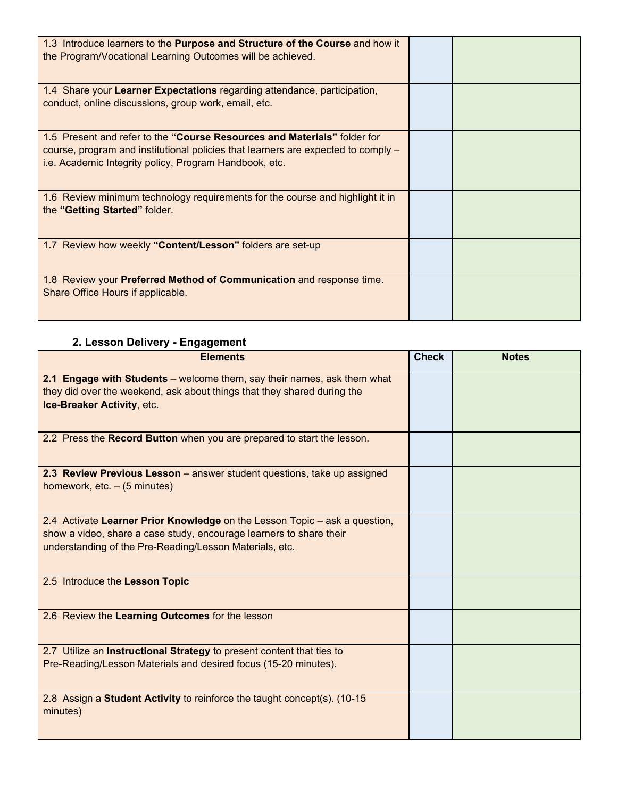| 1.3 Introduce learners to the Purpose and Structure of the Course and how it<br>the Program/Vocational Learning Outcomes will be achieved.                                                                              |  |
|-------------------------------------------------------------------------------------------------------------------------------------------------------------------------------------------------------------------------|--|
| 1.4 Share your Learner Expectations regarding attendance, participation,<br>conduct, online discussions, group work, email, etc.                                                                                        |  |
| 1.5 Present and refer to the "Course Resources and Materials" folder for<br>course, program and institutional policies that learners are expected to comply –<br>i.e. Academic Integrity policy, Program Handbook, etc. |  |
| 1.6 Review minimum technology requirements for the course and highlight it in<br>the "Getting Started" folder.                                                                                                          |  |
| 1.7 Review how weekly "Content/Lesson" folders are set-up                                                                                                                                                               |  |
| 1.8 Review your Preferred Method of Communication and response time.<br>Share Office Hours if applicable.                                                                                                               |  |

# **2. Lesson Delivery - Engagement**

| <b>Elements</b>                                                                                                                                                                                              | <b>Check</b> | <b>Notes</b> |
|--------------------------------------------------------------------------------------------------------------------------------------------------------------------------------------------------------------|--------------|--------------|
| 2.1 Engage with Students – welcome them, say their names, ask them what<br>they did over the weekend, ask about things that they shared during the<br>Ice-Breaker Activity, etc.                             |              |              |
| 2.2 Press the Record Button when you are prepared to start the lesson.                                                                                                                                       |              |              |
| 2.3 Review Previous Lesson - answer student questions, take up assigned<br>homework, $etc. - (5 minutes)$                                                                                                    |              |              |
| 2.4 Activate Learner Prior Knowledge on the Lesson Topic – ask a question,<br>show a video, share a case study, encourage learners to share their<br>understanding of the Pre-Reading/Lesson Materials, etc. |              |              |
| 2.5 Introduce the Lesson Topic                                                                                                                                                                               |              |              |
| 2.6 Review the Learning Outcomes for the lesson                                                                                                                                                              |              |              |
| 2.7 Utilize an Instructional Strategy to present content that ties to<br>Pre-Reading/Lesson Materials and desired focus (15-20 minutes).                                                                     |              |              |
| 2.8 Assign a Student Activity to reinforce the taught concept(s). (10-15<br>minutes)                                                                                                                         |              |              |